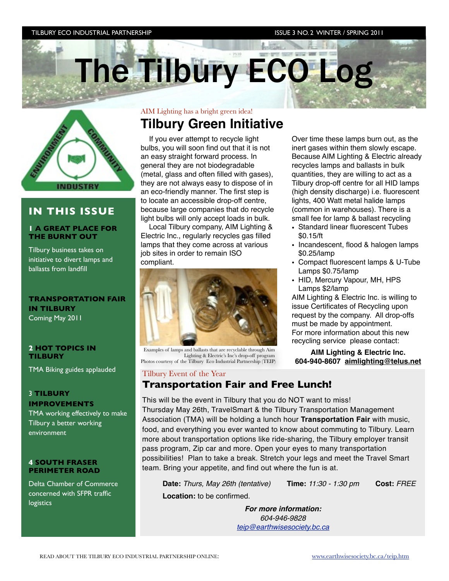#### TILBURY ECO INDUSTRIAL PARTNERSHIP ISSUE 3 NO. 2 WINTER / SPRING 2011

The Tilbury ECO Log



### **IN THIS ISSUE**

#### **1 A GREAT PLACE FOR THE BURNT OUT**

Tilbury business takes on initiative to divert lamps and ballasts from landfill

#### **TRANSPORTATION FAIR IN TILBURY**  Coming May 2011

#### **2 HOT TOPICS IN TILBURY**

TMA Biking guides applauded

#### 3 **TILBURY**

**IMPROVEMENTS**

TMA working effectively to make Tilbury a better working environment

#### **4 SOUTH FRASER PERIMETER ROAD**

Delta Chamber of Commerce concerned with SFPR traffic logistics

### AIM Lighting has a bright green idea! **Tilbury Green Initiative**

If you ever attempt to recycle light bulbs, you will soon find out that it is not an easy straight forward process. In general they are not biodegradable (metal, glass and often filled with gases), they are not always easy to dispose of in an eco-friendly manner. The first step is to locate an accessible drop-off centre, because large companies that do recycle light bulbs will only accept loads in bulk.

Local Tilbury company, AIM Lighting & Electric Inc., regularly recycles gas filled lamps that they come across at various job sites in order to remain ISO compliant.



Examples of lamps and ballasts that are recyclable through Aim Lighting & Electric's Inc's drop-off program Photos courtesy of the Tilbury Eco Industrial Partnership (TEIP)

#### Tilbury Event of the Year

### **Transportation Fair and Free Lunch!**

This will be the event in Tilbury that you do NOT want to miss! Thursday May 26th, TravelSmart & the Tilbury Transportation Management Association (TMA) will be holding a lunch hour **Transportation Fair** with music, food, and everything you ever wanted to know about commuting to Tilbury. Learn more about transportation options like ride-sharing, the Tilbury employer transit pass program, Zip car and more. Open your eyes to many transportation possibilities! Plan to take a break. Stretch your legs and meet the Travel Smart team. Bring your appetite, and find out where the fun is at.

 **Date:** *Thurs, May 26th (tentative)* **Time:** *11:30 - 1:30 pm* **Cost:** *FREE*  **Location:** to be confirmed.

*For more information: 604-946-9828 [teip@earthwisesociety.bc.ca](mailto:teip@earthwisesociety.bc.ca)*

Over time these lamps burn out, as the inert gases within them slowly escape. Because AIM Lighting & Electric already recycles lamps and ballasts in bulk quantities, they are willing to act as a Tilbury drop-off centre for all HID lamps (high density discharge) i.e. fluorescent lights, 400 Watt metal halide lamps (common in warehouses). There is a small fee for lamp & ballast recycling

- Standard linear fluorescent Tubes \$0.15/ft
- Incandescent, flood & halogen lamps \$0.25/lamp
- Compact fluorescent lamps & U-Tube Lamps \$0.75/lamp
- HID, Mercury Vapour, MH, HPS Lamps \$2/lamp

AIM Lighting & Electric Inc. is willing to issue Certificates of Recycling upon request by the company. All drop-offs must be made by appointment. For more information about this new recycling service please contact:

**AIM Lighting & Electric Inc. 604-940-8607 [aimlighting@telus.net](mailto:aimlighting@telus.net)**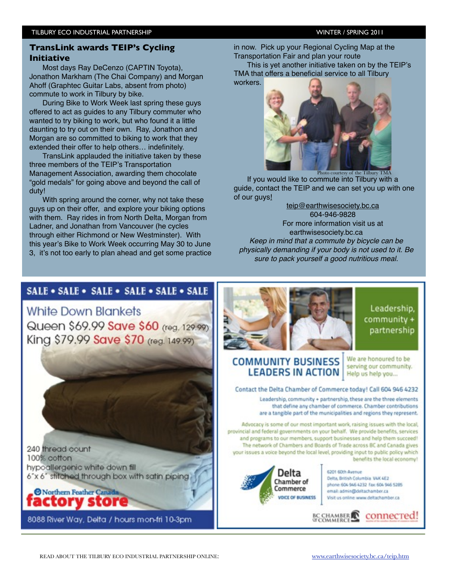### **TransLink awards TEIP's Cycling Initiative**

Most days Ray DeCenzo (CAPTIN Toyota), Jonathon Markham (The Chai Company) and Morgan Ahoff (Graphtec Guitar Labs, absent from photo) commute to work in Tilbury by bike.

During Bike to Work Week last spring these guys offered to act as guides to any Tilbury commuter who wanted to try biking to work, but who found it a little daunting to try out on their own. Ray, Jonathon and Morgan are so committed to biking to work that they extended their offer to help others… indefinitely.

TransLink applauded the initiative taken by these three members of the TEIP's Transportation Management Association, awarding them chocolate "gold medals" for going above and beyond the call of duty!

With spring around the corner, why not take these guys up on their offer, and explore your biking options with them. Ray rides in from North Delta, Morgan from Ladner, and Jonathan from Vancouver (he cycles through either Richmond or New Westminster). With this year's Bike to Work Week occurring May 30 to June 3, it's not too early to plan ahead and get some practice in now. Pick up your Regional Cycling Map at the Transportation Fair and plan your route

This is yet another initiative taken on by the TEIP's TMA that offers a beneficial service to all Tilbury workers.



If you would like to commute into Tilbury with a guide, contact the TEIP and we can set you up with one of our guy[s!](mailto:teip@earthwisesociety.bc.ca)

[teip@earthwisesociety.bc.ca](mailto:teip@earthwisesociety.bc.ca) 604-946-9828 For more information visit us at earthwisesociety.bc.ca *Keep in mind that a commute by bicycle can be physically demanding if your body is not used to it. Be sure to pack yourself a good nutritious meal.*

### SALE . SALE . SALE . SALE . SALE . SALE

**White Down Blankets** Queen \$69.99 Save \$60 (reg. 129.99) King \$79.99 Save \$70 (reg. 149.99)

240 thread count 100% cotton hypoallergenic white down fill 6"x 6" stitched through box with satin piping.



8088 River Way, Delta / hours mon-fri 10-3pm



Leadership. community + partnership

### **COMMUNITY BUSINESS LEADERS IN ACTION**

We are honoured to be serving our community. Help us help you...

#### Contact the Delta Chamber of Commerce today! Call 604 946 4232

Leadership, community + partnership, these are the three elements that define any chamber of commerce. Chamber contributions are a tangible part of the municipalities and regions they represent.

**BC CHAMBER** 

Advocacy is some of our most important work, raising issues with the local. provincial and federal governments on your behalf. We provide benefits, services and programs to our members, support businesses and help them succeed! The network of Chambers and Boards of Trade across BC and Canada gives your issues a voice beyond the local level, providing input to public policy which benefits the local economy!



6201 60th Avenue Delta, British Columbia VAK 4E2 phone: 604 946 4232 fax: 604 946 5285 email: admin@deltachamber.ca Visit us online www.deltachamber.ca

connecred!

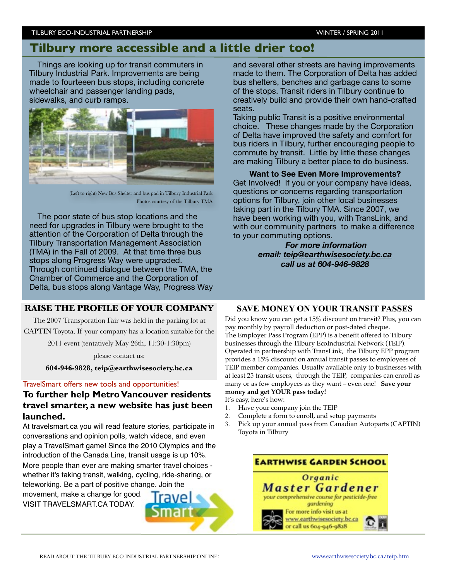#### TILBURY ECO-INDUSTRIAL PARTNERSHIP WINTER / SPRING 2011

## **Tilbury more accessible and a little drier too!**

Things are looking up for transit commuters in Tilbury Industrial Park. Improvements are being made to fourteeen bus stops, including concrete wheelchair and passenger landing pads, sidewalks, and curb ramps.



(Left to right) New Bus Shelter and bus pad in Tilbury Industrial Park Photos courtesy of the Tilbury TMA

The poor state of bus stop locations and the need for upgrades in Tilbury were brought to the attention of the Corporation of Delta through the Tilbury Transportation Management Association (TMA) in the Fall of 2009. At that time three bus stops along Progress Way were upgraded. Through continued dialogue between the TMA, the Chamber of Commerce and the Corporation of Delta, bus stops along Vantage Way, Progress Way

### **RAISE THE PROFILE OF YOUR COMPANY**

The 2007 Transporation Fair was held in the parking lot at CAPTIN Toyota. If your company has a location suitable for the

2011 event (tentatively May 26th, 11:30-1:30pm)

please contact us:

**604-946-9828, teip@earthwisesociety.bc.ca** 

#### TravelSmart offers new tools and opportunities!

### **To further help Metro Vancouver residents travel smarter, a new website has just been launched.**

At travelsmart.ca you will read feature stories, participate in conversations and opinion polls, watch videos, and even play a TravelSmart game! Since the 2010 Olympics and the introduction of the Canada Line, transit usage is up 10%. More people than ever are making smarter travel choices whether it's taking transit, walking, cycling, ride-sharing, or teleworking. Be a part of positive change. Join the movement, make a change for good. VISIT TRAVELSMART.CA TODAY.

and several other streets are having improvements made to them. The Corporation of Delta has added bus shelters, benches and garbage cans to some of the stops. Transit riders in Tilbury continue to creatively build and provide their own hand-crafted seats.

Taking public Transit is a positive environmental choice. These changes made by the Corporation of Delta have improved the safety and comfort for bus riders in Tilbury, further encouraging people to commute by transit. Little by little these changes are making Tilbury a better place to do business.

**Want to See Even More Improvements?**  Get Involved! If you or your company have ideas, questions or concerns regarding transportation options for Tilbury, join other local businesses taking part in the Tilbury TMA. Since 2007, we have been working with you, with TransLink, and with our community partners to make a difference to your commuting options.

*For more information email: [teip@earthwisesociety.bc.ca](mailto:teip@earthwisesociety.bc.ca) call us at 604-946-9828* 

#### **SAVE MONEY ON YOUR TRANSIT PASSES**

Did you know you can get a 15% discount on transit? Plus, you can pay monthly by payroll deduction or post-dated cheque. The Employer Pass Program (EPP) is a benefit offered to Tilbury businesses through the Tilbury EcoIndustrial Network (TEIP). Operated in partnership with TransLink, the Tilbury EPP program provides a 15% discount on annual transit passes to employees of TEIP member companies. Usually available only to businesses with at least 25 transit users, through the TEIP, companies can enroll as many or as few employees as they want – even one! **Save your money and get YOUR pass today!**

It's easy, here's how:

- 1. Have your company join the TEIP
- 2. Complete a form to enroll, and setup payments
- 3. Pick up your annual pass from Canadian Autoparts (CAPTIN) Toyota in Tilbury